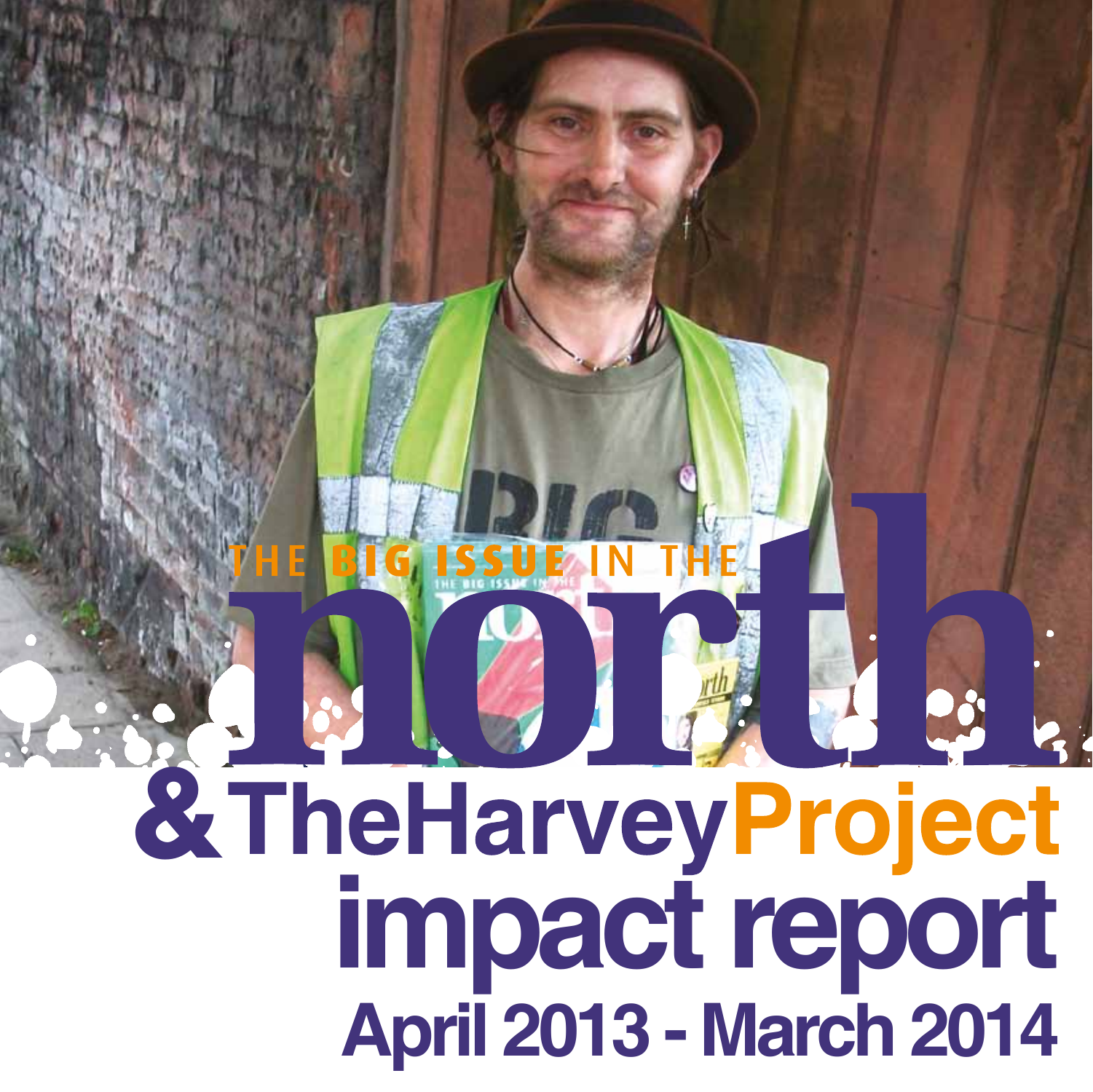### **学生 马 23** & The Harvey Project **impact report April 2013 - March 2014**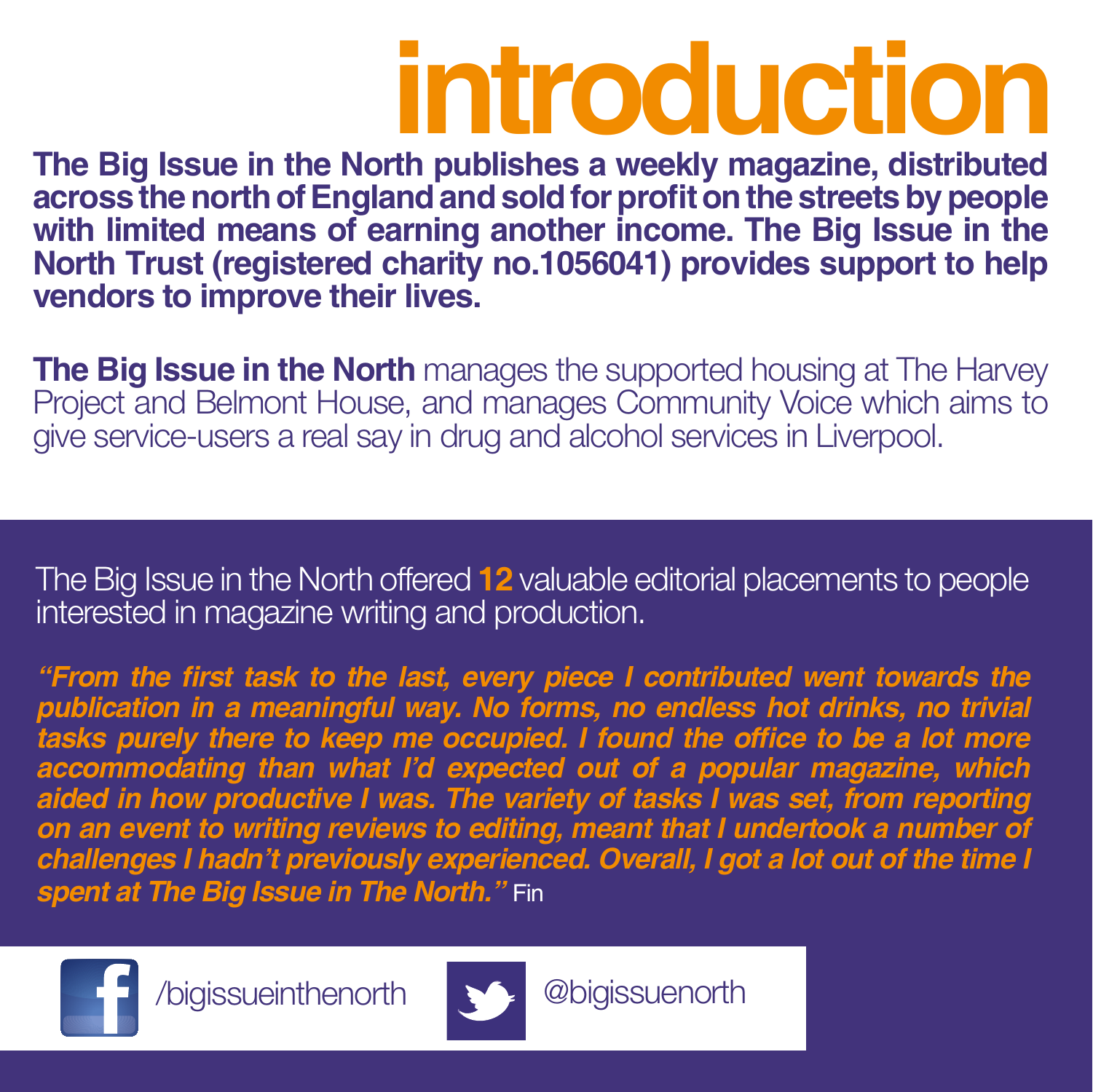### **introduction**

**The Big Issue in the North publishes a weekly magazine, distributed across the north of England and sold for profit on the streets by people with limited means of earning another income. The Big Issue in the North Trust (registered charity no.1056041) provides support to help vendors to improve their lives.** 

**The Big Issue in the North** manages the supported housing at The Harvey Project and Belmont House, and manages Community Voice which aims to give service-users a real say in drug and alcohol services in Liverpool.

The Big Issue in the North offered **12** valuable editorial placements to people interested in magazine writing and production.

**"From the first task to the last, every piece I contributed went towards the publication in a meaningful way. No forms, no endless hot drinks, no trivial tasks purely there to keep me occupied. I found the office to be a lot more accommodating than what I'd expected out of a popular magazine, which aided in how productive I was. The variety of tasks I was set, from reporting on an event to writing reviews to editing, meant that I undertook a number of challenges I hadn't previously experienced. Overall, I got a lot out of the time I spent at The Big Issue in The North."** Fin



/bigissueinthenorth @bigissuenorth

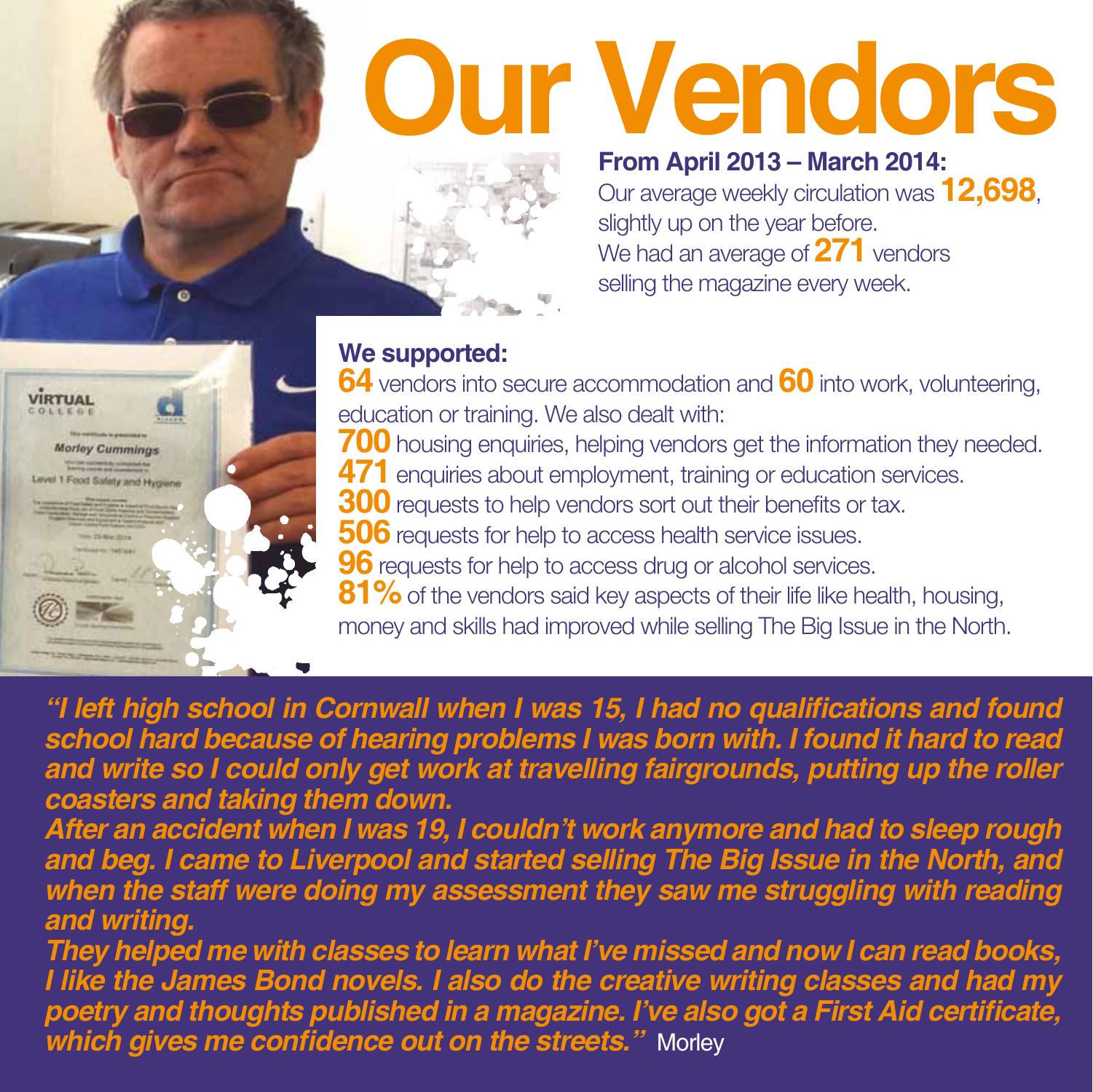# **Our Vendors**



#### **From April 2013 – March 2014:**

Our average weekly circulation was **12,698**, slightly up on the year before. We had an average of **271** vendors selling the magazine every week.

#### **We supported:**



c

 vendors into secure accommodation and **60** into work, volunteering, education or training. We also dealt with: housing enquiries, helping vendors get the information they needed. enquiries about employment, training or education services. requests to help vendors sort out their benefits or tax. requests for help to access health service issues. requests for help to access drug or alcohol services. **81%** of the vendors said key aspects of their life like health, housing, money and skills had improved while selling The Big Issue in the North.

**"I left high school in Cornwall when I was 15, I had no qualifications and found school hard because of hearing problems I was born with. I found it hard to read and write so I could only get work at travelling fairgrounds, putting up the roller coasters and taking them down.**

**After an accident when I was 19, I couldn't work anymore and had to sleep rough and beg. I came to Liverpool and started selling The Big Issue in the North, and when the staff were doing my assessment they saw me struggling with reading and writing.**

**They helped me with classes to learn what I've missed and now I can read books, I like the James Bond novels. I also do the creative writing classes and had my poetry and thoughts published in a magazine. I've also got a First Aid certificate,**  *which gives me confidence out on the streets.***" Morley**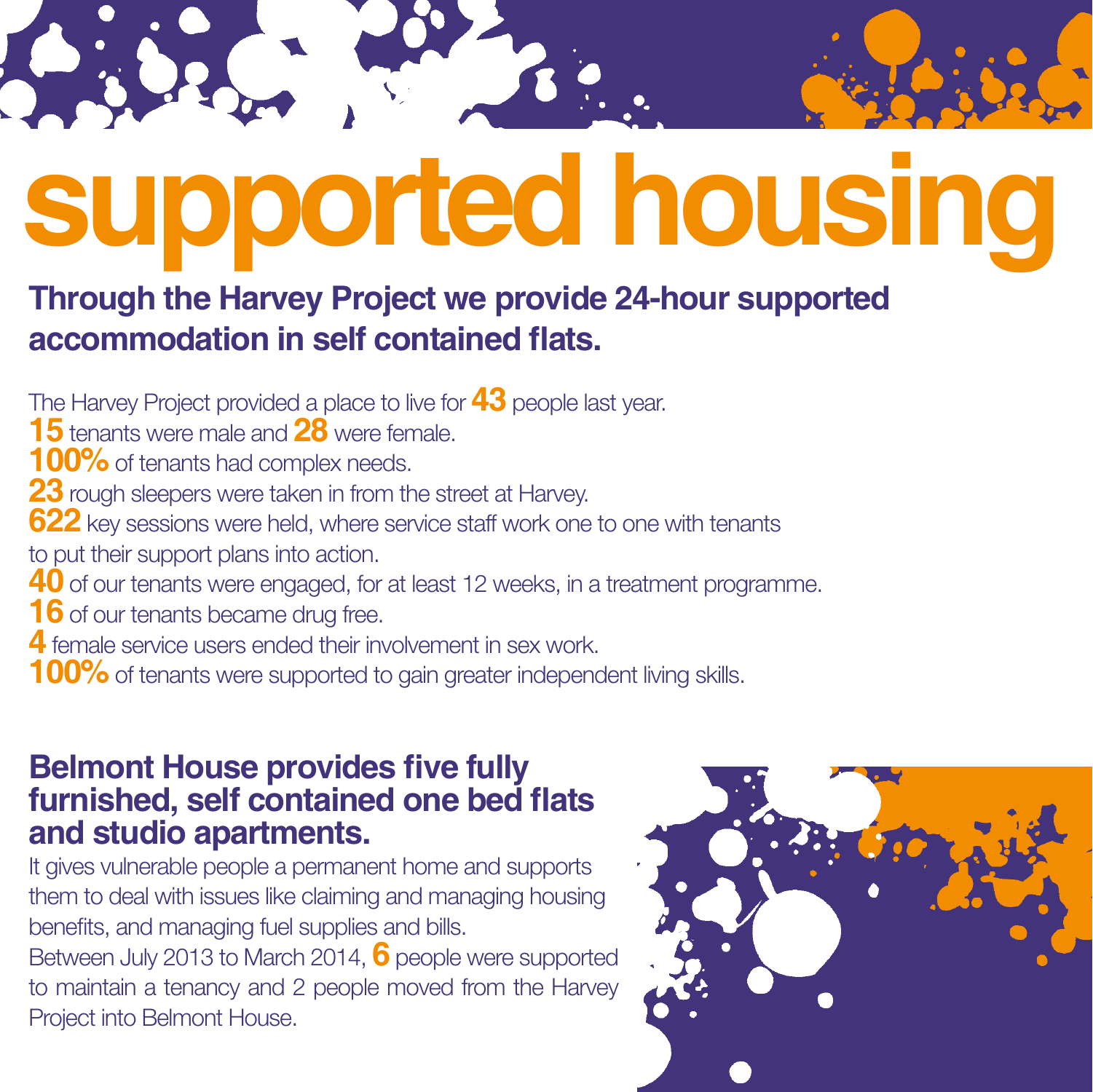# **supported housing**

#### **Through the Harvey Project we provide 24-hour supported accommodation in self contained flats.**

The Harvey Project provided a place to live for **43** people last year.

- **15** tenants were male and **28** were female.
- **100%** of tenants had complex needs.
- **23** rough sleepers were taken in from the street at Harvey.
- **622** key sessions were held, where service staff work one to one with tenants
- to put their support plans into action.
- **40** of our tenants were engaged, for at least 12 weeks, in a treatment programme.
- **16** of our tenants became drug free.
- **4** female service users ended their involvement in sex work.
- **100%** of tenants were supported to gain greater independent living skills.

#### **Belmont House provides five fully furnished, self contained one bed flats and studio apartments.**

It gives vulnerable people a permanent home and supports them to deal with issues like claiming and managing housing benefits, and managing fuel supplies and bills. Between July 2013 to March 2014, **6** people were supported to maintain a tenancy and 2 people moved from the Harvey Project into Belmont House.

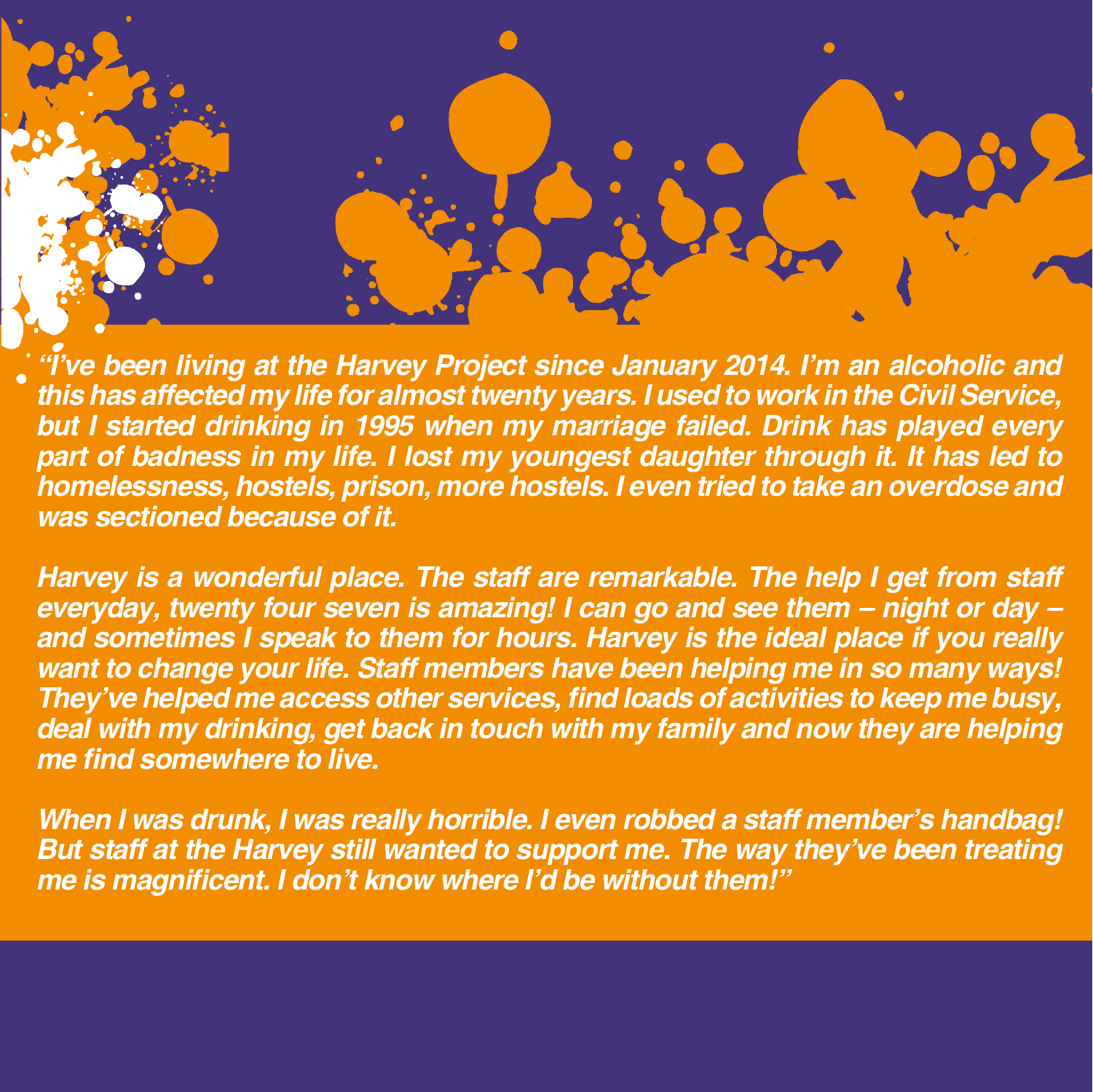**"I've been living at the Harvey Project since January 2014. I'm an alcoholic and this has affected my life for almost twenty years. I used to work in the Civil Service, but I started drinking in 1995 when my marriage failed. Drink has played every part of badness in my life. I lost my youngest daughter through it. It has led to homelessness, hostels, prison, more hostels. I even tried to take an overdose and was sectioned because of it.**

**Harvey is a wonderful place. The staff are remarkable. The help I get from staff everyday, twenty four seven is amazing! I can go and see them – night or day – and sometimes I speak to them for hours. Harvey is the ideal place if you really want to change your life. Staff members have been helping me in so many ways! They've helped me access other services, find loads of activities to keep me busy, deal with my drinking, get back in touch with my family and now they are helping me find somewhere to live.** 

**When I was drunk, I was really horrible. I even robbed a staff member's handbag! But staff at the Harvey still wanted to support me. The way they've been treating me is magnificent. I don't know where I'd be without them!"**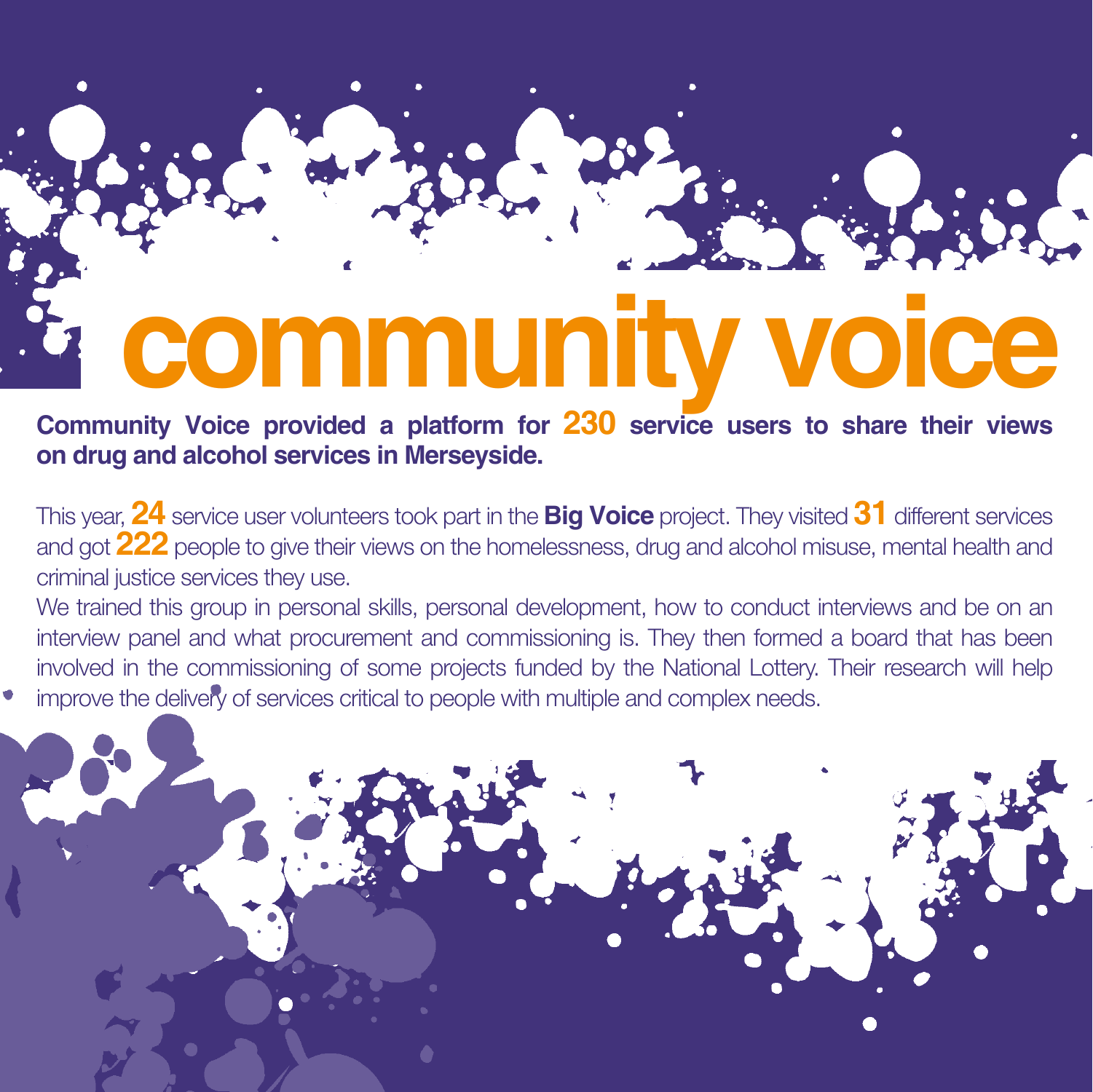## **community voice**

**Community Voice provided a platform for 230 service users to share their views on drug and alcohol services in Merseyside.**

This year, **24** service user volunteers took part in the **Big Voice** project. They visited **31** different services and got **222** people to give their views on the homelessness, drug and alcohol misuse, mental health and criminal justice services they use.

We trained this group in personal skills, personal development, how to conduct interviews and be on an interview panel and what procurement and commissioning is. They then formed a board that has been involved in the commissioning of some projects funded by the National Lottery. Their research will help improve the delivery of services critical to people with multiple and complex needs.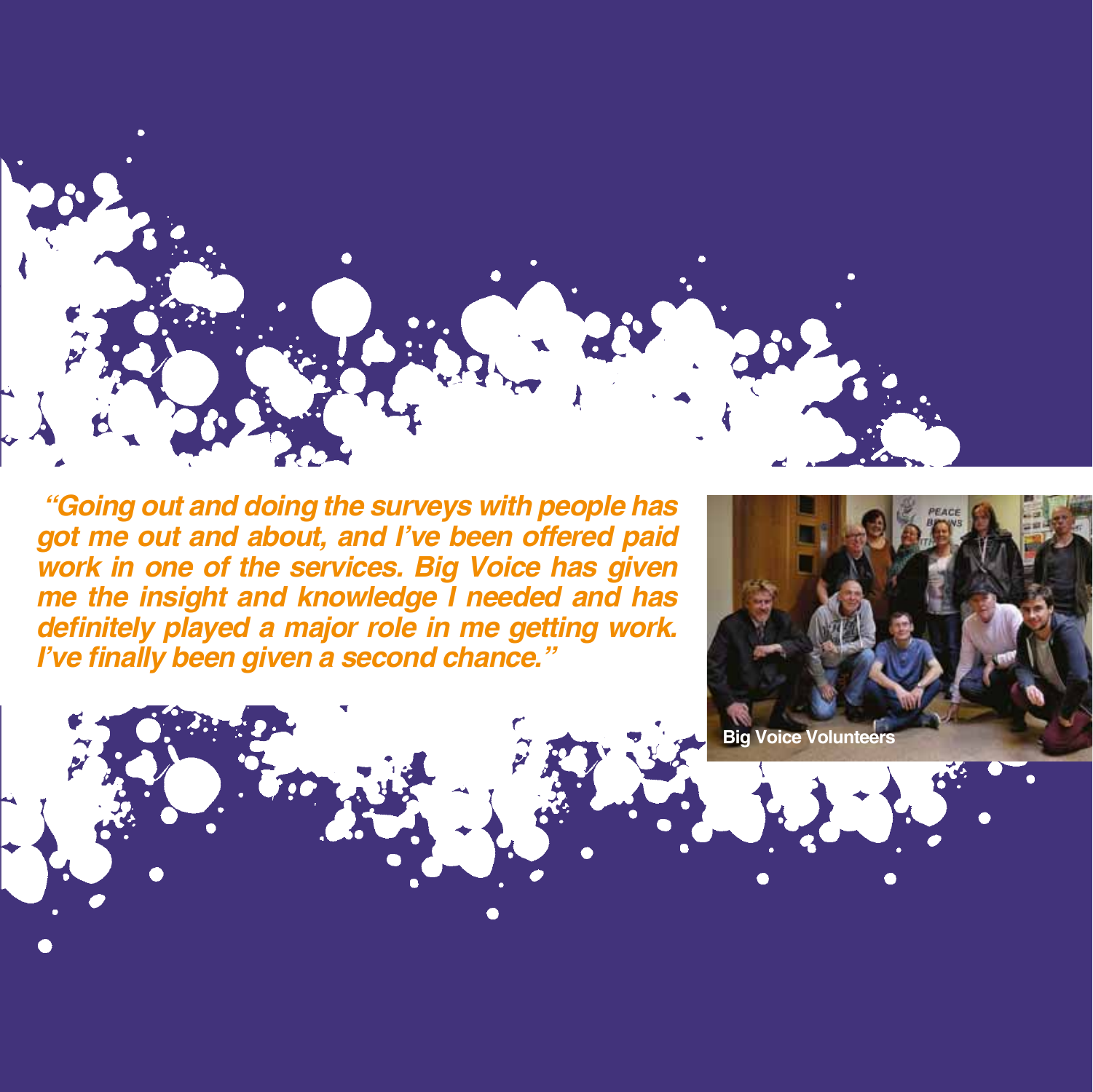

 **"Going out and doing the surveys with people has got me out and about, and I've been offered paid work in one of the services. Big Voice has given me the insight and knowledge I needed and has**  definitely played a major role in me getting work. **I've finally been given a second chance."**